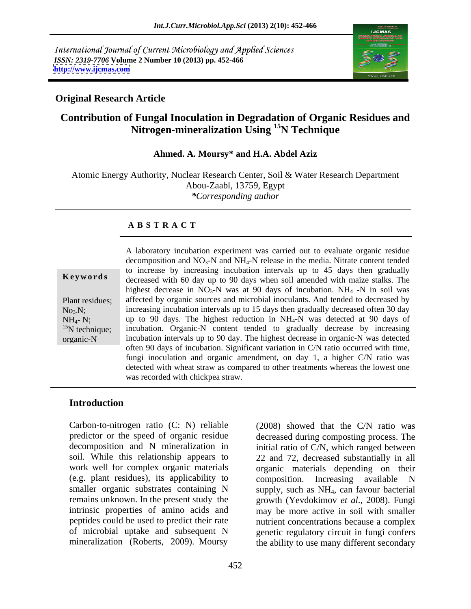International Journal of Current Microbiology and Applied Sciences *ISSN: 2319-7706* **Volume 2 Number 10 (2013) pp. 452-466 <http://www.ijcmas.com>**



### **Original Research Article**

# **Contribution of Fungal Inoculation in Degradation of Organic Residues and Nitrogen-mineralization Using 15N Technique**

### **Ahmed. A. Moursy\* and H.A. Abdel Aziz**

Atomic Energy Authority, Nuclear Research Center, Soil & Water Research Department Abou-Zaabl, 13759, Egypt *\*Corresponding author*

### **A B S T R A C T**

| Keywords |  |  |  |
|----------|--|--|--|
|----------|--|--|--|

**Keywords** decreased with 60 day up to 90 days when soil amended with maize stalks. The Plant residues; affected by organic sources and microbial inoculants. And tended to decreased by No<sub>3</sub>N; increasing incubation intervals up to 15 days then gradually decreased often 30 day  $NH_{4}$ - N; we up to 90 days. The highest reduction in  $NH_{4}$ -N was detected at 90 days of <sup>15</sup>N technique; incubation. Organic-N content tended to gradually decrease by increasing organic-N incubation intervals up to 90 day. The highest decrease in organic-N was detected A laboratory incubation experiment was carried out to evaluate organic residue decomposition and  $NO<sub>3</sub>-N$  and  $NH<sub>4</sub>-N$  release in the media. Nitrate content tended to increase by increasing incubation intervals up to 45 days then gradually highest decrease in  $NO_3-N$  was at 90 days of incubation. NH<sub>4</sub> -N in soil was often 90 days of incubation. Significant variation in C/N ratio occurred with time, fungi inoculation and organic amendment, on day 1, a higher C/N ratio was detected with wheat straw as compared to other treatments whereas the lowest one was recorded with chickpea straw.

## **Introduction**

Carbon-to-nitrogen ratio (C: N) reliable predictor or the speed of organic residue decreased during composting process. The decomposition and N mineralization in initial ratio of C/N, which ranged between soil. While this relationship appears to 22 and 72, decreased substantially in all work well for complex organic materials organic materials depending on their (e.g. plant residues), its applicability to composition. Increasing available N smaller organic substrates containing N supply, such as NH<sub>4</sub>, can favour bacterial remains unknown. In the present study the growth (Yevdokimov *et al*., 2008). Fungi intrinsic properties of amino acids and may be more active in soil with smaller peptides could be used to predict their rate nutrient concentrations because a complex of microbial uptake and subsequent N genetic regulatory circuit in fungi confers

mineralization (Roberts, 2009). Moursy the ability to use many different secondary (2008) showed that the C/N ratio was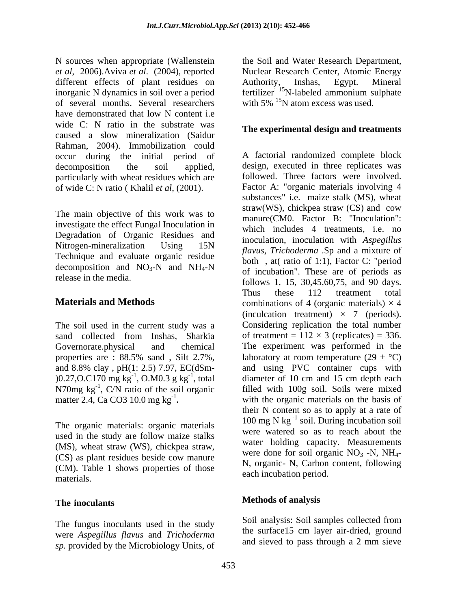N sources when appropriate (Wallenstein *et al*, 2006).Aviva *et al*. (2004), reported Nuclear Research Center, Atomic Energy different effects of plant residues on Authority, Inshas, Egypt. Mineral inorganic N dynamics in soil over a period fertilizer: <sup>15</sup>N-labeled ammonium sulphate of several months. Several researchers have demonstrated that low N content i.e wide C: N ratio in the substrate was caused a slow mineralization (Saidur Rahman, 2004). Immobilization could occur during the initial period of particularly with wheat residues which are of wide C: N ratio ( Khalil *et al*, (2001).

The main objective of this work was to investigate the effect Fungal Inoculation in Degradation of Organic Residues and Technique and evaluate organic residue decomposition and  $NO_3-N$  and  $NH_4-N$ 

The soil used in the current study was a sand collected from Inshas, Sharkia properties are : 88.5% sand , Silt 2.7%,  $(0.27, 0.0170 \text{ mg kg}^{-1}, 0.0003 \text{ g kg}^{-1}, \text{total})$ N70mg  $kg^{-1}$ , C/N ratio of the soil organic

The organic materials: organic materials used in the study are follow maize stalks (MS), wheat straw (WS), chickpea straw, (CS) as plant residues beside cow manure (CM). Table 1 shows properties of those materials. The call include the period.

## **The inoculants**

The fungus inoculants used in the study were *Aspegillus flavus* and *Trichoderma* and sieved to pass through a 2 mm sieve *sp.* provided by the Microbiology Units, of

the Soil and Water Research Department, Authority, Inshas, Egypt. Mineral with  $5\%$  <sup>15</sup>N atom excess was used.

### **The experimental design and treatments**

decomposition the soil applied, design, executed in three replicates was Nitrogen-mineralization Using  $15N$  modellation, modellation with  $n_{sp}$   $\epsilon_{\text{atm}}$ release in the media.  $\frac{67}{15}$  follows 1, 15, 30,45,60,75, and 90 days. **Materials and Methods** combinations of 4 (organic materials)  $\times$  4 Governorate.physical and chemical The experiment was performed in the and 8.8% clay , pH(1: 2.5) 7.97, EC(dSm- and using PVC container cups with , O.M0.3 g  $kg^{-1}$ , total diameter of 10 cm and 15 cm depth each <sup>-1</sup>, C/N ratio of the soil organic filled with 100g soil. Soils were mixed matter 2.4, Ca CO3 10.0 mg  $kg^{-1}$ . with the organic materials on the basis of A factorial randomized complete block followed. Three factors were involved. Factor A: "organic materials involving 4 substances" i.e. maize stalk (MS), wheat straw(WS), chickpea straw (CS) and cow manure(CM0. Factor B: "Inoculation": which includes 4 treatments, i.e. no inoculation, inoculation with *Aspegillus flavus*, *Trichoderma* .Sp and a mixture of both , at( ratio of 1:1), Factor C: "period of incubation". These are of periods as Thus these 112 treatment total (inculcation treatment)  $\times$  7 (periods). Considering replication the total number of treatment =  $112 \times 3$  (replicates) = 336. laboratory at room temperature  $(29 \pm {}^{\circ}C)$ diameter of 10 cm and 15 cm depth each their N content so as to apply at a rate of  $100 \text{ mg N kg}^{-1}$  soil. During incubation soil were watered so as to reach about the water holding capacity. Measurements were done for soil organic  $NO<sub>3</sub>$  -N, NH<sub>4</sub>-N, organic- N, Carbon content, following each incubation period.

## **Methods of analysis**

Soil analysis: Soil samples collected from the surface15 cm layer air-dried, ground and sieved to pass through a 2 mm sieve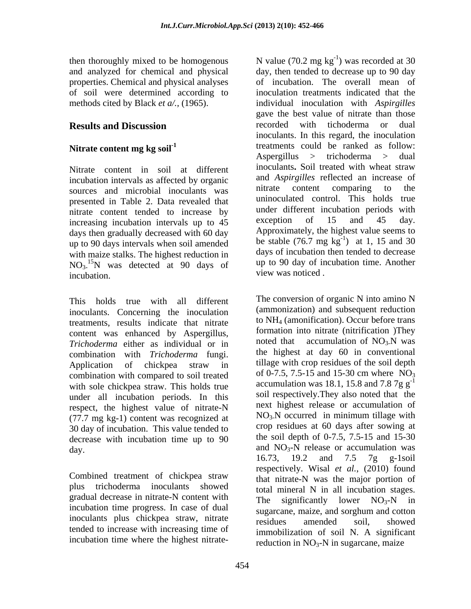properties. Chemical and physical analyses

Nitrate content in soil at different incubation intervals as affected by organic and Aspirgilles reflected an increase of<br>sources and microbial inoculants was initrate content comparing to the sources and microbial inoculants was presented in Table 2. Data revealed that nitrate content tended to increase by under different incubation periods with<br>increasing incubation intervals up to 45 exception of 15 and 45 day. increasing incubation intervals up to 45 days then gradually decreased with 60 day up to 90 days intervals when soil amended with maize stalks. The highest reduction in NO<sub>3</sub><sup>15</sup>N was detected at 90 days of incubation. incubation. The same service of the view was noticed.

This holds true with all different inoculants. Concerning the inoculation treatments, results indicate that nitrate content was enhanced by Aspergillus, formation into intrate (intrification )They<br>Trichoderma either as individual or in the noted that accumulation of  $NO<sub>3</sub>N$  was *Trichoderma* either as individual or in combination with *Trichoderma* fungi. combination with compared to soil treated of 0-7.5, 7.5-15 and 15-30 cm where  $NO_3$ with sole chickpea straw. This holds true under all incubation periods. In this respect, the highest value of nitrate-N next highest release or accumulation of  $(77.7 \text{ m/s k s})$  content was recognized at  $NO<sub>3</sub>N$  occurred in minimum tillage with  $(77.7 \text{ mg kg-1})$  content was recognized at 30 day of incubation. This value tended to decrease with incubation time up to 90

Combined treatment of chickpea straw gradual decrease in nitrate-N content with  $\frac{1}{2}$  The significantly lower NO<sub>3</sub>-N in incubation time progress. In case of dual sugarcane, maize, and sorghum and cotton inoculants plus chickpea straw, nitrate residues amended soil. showed tended to increase with increasing time of

then thoroughly mixed to be homogenous  $N$  value (70.2 mg kg<sup>-1</sup>) was recorded at 30 and analyzed for chemical and physical day, then tended to decrease up to 90 day of soil were determined according to inoculation treatments indicated that the methods cited by Black *et a/.,* (1965). individual inoculation with *Aspirgilles* **Results and Discussion Example 20 recorded** with tichoderma or dual Nitrate content mg kg soil<sup>-1</sup> treatments could be ranked as follow: ) was recorded at 30 of incubation. The overall mean of gave the best value of nitrate than those recorded with tichoderma or dual inoculants. In this regard, the inoculation Aspergillus > trichoderma > dual inoculants**.** Soil treated with wheat straw and *Aspirgilles* reflected an increase of nitrate content comparing to the uninoculated control. This holds true under different incubation periods with exception of 15 and 45 day. Approximately, the highest value seems to be stable  $(76.7 \text{ mg kg}^{-1})$  at 1, 15 and 30  $^{-1}$  ot 1 15 and 20 ) at 1, 15 and 30 days of incubation then tended to decrease up to 90 day of incubation time. Another view was noticed .

Application of chickpea straw in tillage with crop residues of the soil depth  $\alpha$  and NO<sub>3</sub>-N release or accumulation was plus trichoderma inoculants showed total mineral N in all incubation stages. then throughly mixed to be loomgeheard. Notice (70.2 mg kg b) was tecorded a 50 method of the mixed of method in the second and properties. Chemical and physical and physical and  $\alpha$  of a mixed in consideration. The orie The conversion of organic N into amino N (ammonization) and subsequent reduction to NH4 (amonification). Occur before trans formation into nitrate (nitrification )They noted that accumulation of  $NO<sub>3</sub>$ N was the highest at day 60 in conventional tillage with crop residues of the soil depth of 0-7.5, 7.5-15 and 15-30 cm where  $NO_3$ accumulation was 18.1, 15.8 and 7.8 7g  $g^{-1}$ soil respectively.They also noted that the next highest release or accumulation of  $NO<sub>3</sub>N$  occurred in minimum tillage with crop residues at 60 days after sowing at the soil depth of 0-7.5, 7.5-15 and 15-30 16.73, 19.2 and 7.5 7g g-1soil respectively. Wisal *et al.*, (2010) found that nitrate-N was the major portion of The significantly lower  $NO<sub>3</sub>-N$  in sugarcane, maize, and sorghum and cotton residues amended soil, showed immobilization of soil N. A significant reduction in  $NO<sub>3</sub>-N$  in sugarcane, maize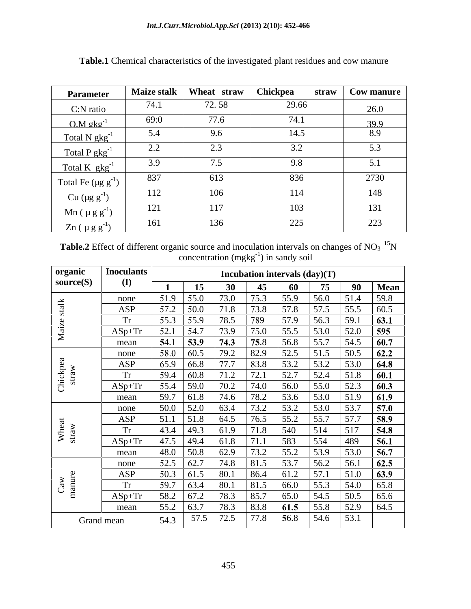| <b>Parameter</b>                        |               | Maize stalk   Wheat straw | Chickpea | straw $\vert$ Cow manure $\vert$ |
|-----------------------------------------|---------------|---------------------------|----------|----------------------------------|
| C:N ratio                               | 74.1          | 72.58                     | 29.66    | 26.0                             |
| $0.M$ gkg <sup>-1</sup>                 | 69:0          | 77.6                      | 74.1     | 39.9                             |
| $Total N gkg-1$                         | 5.4           | 9.6                       | 14.5     | 8.9                              |
| Total P $gkg^{-1}$                      | $2.2^{\circ}$ | $\bigcap$<br>$\angle$ .   |          | 50                               |
| Total K $gkg^{-1}$                      | 3.9           | $\overline{\phantom{a}}$  |          |                                  |
| Total Fe $(\mu g g^{-1})$               | 837           | 613                       | 836      | 2730                             |
| $Cu (µg g-1)$                           | 112           | 106                       | 114      | 148                              |
| $\text{Mn}$ ( $\mu$ g g <sup>-1</sup> ) | 121           | 117                       | 103      | 131                              |
| $Zn(\mu g g^{-1})$                      | 161           | 136                       | 225      | 223                              |

**Table.1** Chemical characteristics of the investigated plant residues and cow manure

**Table.2** Effect of different organic source and inoculation intervals on changes of  $NO<sub>3</sub>$ .<sup>15</sup>N  $concentration (mgkg<sup>-1</sup>)$  in sandy soil

| organic           | <b>Inoculants</b> |           |                    |                    | Incubation intervals $(\text{day})(T)$ |                    |                                                          |                |                     |
|-------------------|-------------------|-----------|--------------------|--------------------|----------------------------------------|--------------------|----------------------------------------------------------|----------------|---------------------|
| source(S)         | $\mathbf{I}$      |           | 15                 | <b>30</b>          | 45                                     | 60                 | 75                                                       | 90             | <b>Mean</b>         |
| $\frac{1}{4}$     | none              | 51.9      | 55.0               | 73.0               | 75.3                                   | 55.9               | 56.0                                                     | 51.4           | 59.8                |
|                   | ASP               | 57.2      | 50.0               | 71.8               | $\boxed{73.8}$                         | 57.8               | $\boxed{57.5}$                                           | 55.5           | 60.5                |
|                   | <b>Tr</b>         | 55.3      | 55.9               | 78.5               | 789                                    | 57.9               | $\boxed{56.3}$                                           | 59.1           | $63.1$              |
| Maiz              | $ASp+Tr$          | 52.1      | 54.7               | 73.9               | 75.0                                   | 55.5               | 53.0                                                     | 52.0           | 595                 |
|                   | mean              | 54.1      | $\boxed{53.9}$     | 74.3               | 75.8                                   | 56.8               | 55.7                                                     | 54.5           | 60.7                |
|                   | none              | 58.0      | 60.5               | 79.2               | 82.9                                   | 52.5               | $51.5$                                                   | $50.5$         | 62.2                |
|                   | ASP               | 65.9      | 66.8               | $\overline{77.7}$  | 83.8                                   | 53.2               | 53.2                                                     | 53.0           | 64.8                |
| Chickpea<br>straw | <b>Tr</b>         | 59.4      | 60.8               | 71.2               | 72.1                                   | $52.7$             | 52.4                                                     | 51.8           | 60.1                |
|                   | $ASp+Tr$          | 55.4      | 59.0               | 70.2               | 74.0                                   | 56.0               | 55.0                                                     | $\boxed{52.3}$ | 60.3                |
|                   | mean              | 59.7      | $\vert$ 61.8       | 74.6               | 78.2                                   | 53.6               | 53.0                                                     | 51.9           | 61.9                |
|                   | none              | 50.0      | 52.0               | 63.4               | 73.2                                   | $\boxed{53.2}$     | 53.0                                                     | 53.7           | 57.0                |
|                   | ASP               |           | $51.1$   $51.8$    | 64.5               | 76.5                                   | $\vert 55.2 \vert$ | 55.7                                                     | $57.7$         | 58.9                |
| Wheat<br>straw    | <b>Tr</b>         | 43.4      | 49.3               | 61.9               | 71.8                                   | $\boxed{540}$      | 514                                                      | 517            | 54.8                |
|                   | $ASp+Tr$          | 47.5 49.4 |                    | 61.8               | 71.1                                   | 583                | 554                                                      | 489            |                     |
|                   | mean              | 48.0      | 50.8               | 62.9               | 73.2                                   | 55.2               | 53.9                                                     | 53.0           | $\frac{56.1}{56.7}$ |
|                   | none              | 52.5      | 62.7               | 74.8               | 81.5                                   | 53.7               | 56.2                                                     | 56.1           | 62.5                |
|                   | ASP               |           | $50.3$ 61.5        | 80.1               | 86.4                                   | $\boxed{61.2}$     | 57.1                                                     | 51.0           | 63.9                |
|                   | <b>Tr</b>         | 59.7      | $\vert 63.4 \vert$ | $\vert 80.1 \vert$ | 81.5                                   | 66.0               | 55.3                                                     | 54.0           | 65.8                |
| Caw<br>manure     |                   |           |                    |                    |                                        |                    |                                                          |                |                     |
|                   | $ASp+Tr$          | 58.2      | 67.2               | 78.3               | 85.7                                   | $65.0$             | 54.5                                                     | 50.5           | 65.6                |
|                   | mean              | 55.2      | 63.7               | 78.3               | 83.8                                   | $\vert$ 61.5       | $\begin{array}{ c c } \hline 55.8 \\ \hline \end{array}$ | 52.9           | 64.5                |
|                   | Grand mean        | 54.3      | $57.5$ 72.5        |                    | 77.8                                   | 56.8               | 54.6                                                     | 53.1           |                     |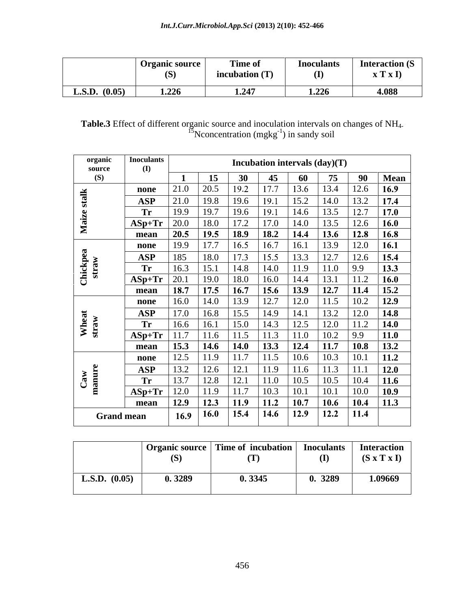| $\sim$<br>$\sim$                | Time of<br>Organic source<br><b>Interaction (S)</b><br>Inoculants<br>$\sqrt{2}$<br>$\sim$<br>$\mathbf{I} \times \mathbf{I}$<br>incubation (T)<br>Œ. |
|---------------------------------|-----------------------------------------------------------------------------------------------------------------------------------------------------|
| <b>L.S.D.</b> $(0.05)$<br>1.226 | 1.226<br>1.247<br>4.088<br>1.4TI                                                                                                                    |

| Table.3 Effect<br>$\cdots$<br>$\cdot$ t of different organic source and inoculation intervals on changes of NH <sub>4</sub> . |  |  |
|-------------------------------------------------------------------------------------------------------------------------------|--|--|
|                                                                                                                               |  |  |
| <sup>15</sup> N concentration (mgkg <sup>-1</sup> ) $\alpha$<br>) in sandy soil<br>$\epsilon$                                 |  |  |

| organic<br>source | <b>Inoculants</b><br>(I) |      |               |           | Incubation intervals (day)(T) |      |             |              |             |
|-------------------|--------------------------|------|---------------|-----------|-------------------------------|------|-------------|--------------|-------------|
| (S)               |                          |      | 15            | <b>30</b> | 45                            | 60   | 75          | 90           | <b>Mean</b> |
|                   | none                     | 21.0 | 20.5          | 19.2      | 17.7                          | 13.6 | 13.4        | 12.6         | 16.9        |
| talk              | ASP                      | 21.0 | 19.8          | 19.6      | 19.1                          | 15.2 | 14.0        | 13.2         | 17.4        |
|                   | Tr                       | 19.9 | 19.7          | 19.6      | 19.1                          | 14.6 | 13.5        | 12.7         | 17.0        |
| Maiz              | $ASp+Tr$                 | 20.0 | 18.0          | 17.2      | 17.0                          | 14.0 | 13.5        | 12.6         | 16.0        |
|                   | mean                     | 20.5 | 19.5          | 18.9      | 18.2                          | 14.4 | 13.6        | $\vert$ 12.8 | 16.8        |
|                   | none                     | 19.9 | $\sqrt{17.7}$ | 16.5      | 16.7                          | 16.1 | 13.9        | 12.0         | <b>16.1</b> |
|                   | <b>ASP</b>               | 185  | 18.0          | 17.3      | 15.5                          | 13.3 | 12.7        | 12.6         | 15.4        |
| Chickpea<br>straw | Tr                       | 16.3 | 15.1          | 14.8      | 14.0                          | 11.9 | 11.0        | 9.9          | 13.3        |
|                   | $ASp+Tr$                 | 20.1 | 19.0          | 18.0      | 16.0                          | 14.4 | 13.1        | $\vert$ 11.2 | 16.0        |
|                   | mean                     | 18.7 | 17.5          | 16.7      | 15.6                          | 13.9 | 12.7        | $\vert$ 11.4 | 15.2        |
|                   | none                     | 16.0 | 14.0          | 13.9      | 12.7                          | 12.0 | 11.5        | 10.2         | 12.9        |
|                   | <b>ASP</b>               | 17.0 | 16.8          | 15.5      | 14.9                          | 14.1 | 13.2        | 12.0         | 14.8        |
| Wheat<br>straw    | Tr                       | 16.6 | 16.1          | 15.0      | 14.3                          | 12.5 | 12.0        | 11.2         | <b>14.0</b> |
|                   | $ASp+Tr$                 | 11.7 | 11.6          | 11.5      | 11.3                          | 11.0 | 10.2        | 9.9          | 11.0        |
|                   | mean                     | 15.3 | 14.6          | 14.0      | 13.3                          | 12.4 | 11.7        | $\vert$ 10.8 | 13.2        |
|                   | none                     | 12.5 | 11.9          | 11.7      | 11.5                          | 10.6 | 10.3        | 10.1         | 11.2        |
|                   | <b>ASP</b>               | 13.2 | 12.6          | 12.1      | 11.9                          | 11.6 | 11.3        | $\pm$ 11.1   | 12.0        |
|                   | Tr                       | 13.7 | 12.8          | 12.1      | 11.0                          | 10.5 | 10.5        | 10.4         | 11.6        |
| Caw<br>manure     | $ASp+Tr$                 | 12.0 | 11.9          | 11.7      | 10.3                          |      | 10.1        | 10.0         | 10.9        |
|                   | mean                     | 12.9 | 12.3          | 11.9      | 11.2                          | 10.7 | 10.6        | 10.4         | 11.3        |
| <b>Grand mean</b> |                          | 16.9 | <b>16.0</b>   | 15.4      | 14.6                          | 12.9 | <b>12.2</b> | $\vert$ 11.4 |             |

|                 | Organic source<br>15 | <br>Time of incubation | <b>Inoculants</b><br>$($ $\Gamma$ | <b>Interaction</b><br><b>CONTINUES</b><br>$(S \times T \times I)$ |
|-----------------|----------------------|------------------------|-----------------------------------|-------------------------------------------------------------------|
| L.S.D. $(0.05)$ | 0.3289               | 0.3345                 | 0. 3289                           | 1.09669                                                           |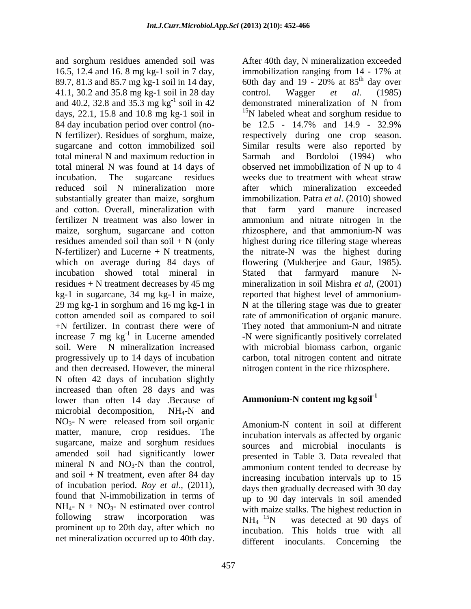16.5, 12.4 and 16. 8 mg kg-1 soil in 7 day, immobilization ranging from  $14 - 17\%$  at 89.7, 81.3 and 85.7 mg kg-1 soil in 14 day, 60th day and 19 - 20% at 85<sup>th</sup> day over 89.7, 81.3 and 85.7 mg kg-1 soil in 14 day, 41.1, 30.2 and 35.8 mg kg-1 soil in 28 day control. Wagger *et al.* (1985) and 40.2, 32.8 and 35.3 mg  $kg^{-1}$  soil in 42 days, 22.1, 15.8 and 10.8 mg kg-1 soil in  $15N$  labeled wheat and sorghum residue to 84 day incubation period over control (no-<br>be 12.5 - 14.7% and 14.9 - 32.9% N fertilizer). Residues of sorghum, maize, respectively during one crop season. sugarcane and cotton immobilized soil Similar results were also reported by total mineral N and maximum reduction in total mineral N was found at 14 days of observed net immobilization of N up to 4 incubation. The sugarcane residues weeks due to treatment with wheat straw reduced soil N mineralization more substantially greater than maize, sorghum and cotton. Overall, mineralization with that farm yard manure increased fertilizer N treatment was also lower in ammonium and nitrate nitrogen in the maize, sorghum, sugarcane and cotton hizosphere, and that ammonium-N was residues amended soil than soil + N (only highest during rice tillering stage whereas N-fertilizer) and Lucerne + N treatments, the nitrate-N was the highest during which on average during 84 days of flowering (Mukherjee and Gaur, 1985). incubation showed total mineral in Stated that farmyard manure Nresidues + N treatment decreases by 45 mg mineralization in soil Mishra *et al*, (2001) kg-1 in sugarcane, 34 mg kg-1 in maize, reported that highest level of ammonium- 29 mg kg-1 in sorghum and 16 mg kg-1 in N at the tillering stage was due to greater cotton amended soil as compared to soil rate of ammonification of organic manure. +N fertilizer. In contrast there were of They noted that ammonium-N and nitrate increase 7 mg  $kg^{-1}$  in Lucerne amended soil. Were N mineralization increased with microbial biomass carbon, organic progressively up to 14 days of incubation carbon, total nitrogen content and nitrate and then decreased. However, the mineral N often 42 days of incubation slightly increased than often 28 days and was lower than often 14 day .Because of microbial decomposition,  $NH_4-N$  and  $NO<sub>3</sub>$ - N were released from soil organic  $A<sub>monium-N</sub>$  content in soil at different matter, manure, crop residues. The sugarcane, maize and sorghum residues amended soil had significantly lower mineral N and  $NO<sub>3</sub>-N$  than the control, and soil  $+ N$  treatment, even after 84 day of incubation period. *Roy et al*., (2011), found that N-immobilization in terms of  $NH_{4}$ - N + NO<sub>3</sub>- N estimated over control following straw incorporation was  $NH_{4}^{-15}N$  was detected at 90 days of following straw incorporation was  $NH_4^{-15}N$ <br>prominent up to 20th day, after which no incubation

and sorghum residues amended soil was After 40th day, N mineralization exceeded <sup>-1</sup> soil in 42 demonstrated mineralization of N from <sup>-1</sup> in Lucerne amended -N were significantly positively correlated immobilization ranging from 14 - 17% at 60th day and 19 - 20% at  $85^{\text{th}}$  day over <sup>th</sup> day over control. Wagger *et al*. (1985) demonstrated mineralization of N from <sup>15</sup>N labeled wheat and sorghum residue to be 12.5 - 14.7% and 14.9 - 32.9% Sarmah and Bordoloi (1994) who weeks due to treatment with wheat straw which mineralization exceeded immobilization. Patra *et al*. (2010) showed that farm yard manure increased Stated that farmyard manure N nitrogen content in the rice rhizosphere.

## **Ammonium-N content mg kg soil-1**

net mineralization occurred up to 40th day.<br>different inoculants. Concerning the Amonium-N content in soil at different incubation intervals as affected by organic sources and microbial inoculants is presented in Table 3. Data revealed that ammonium content tended to decrease by increasing incubation intervals up to 15 days then gradually decreased with 30 day up to 90 day intervals in soil amended with maize stalks. The highest reduction in was detected at 90 days of <sup>15</sup>N was detected at 90 days of incubation. This holds true with all different inoculants. Concerning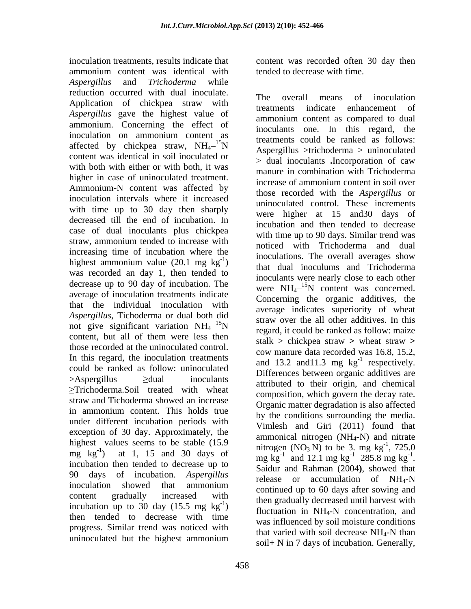inoculation treatments, results indicate that content was recorded often 30 day then ammonium content was identical with tended to decrease with time. *Aspergillus* and *Trichoderma* while reduction occurred with dual inoculate.<br>The overall means of inoculation Application of chickpea straw with treatments indicate enhancement of *Aspergillus* gave the highest value of ammonium. Concerning the effect of inoculation on ammonium content as the movements could be ranked as follows: affected by chickpea straw,  $NH_4^{-15}N$ content was identical in soil inoculated or with both with either or with both, it was higher in case of uninoculated treatment.<br>increase of ammonium content in soil over Ammonium-N content was affected by inoculation intervals where it increased with time up to 30 day then sharply decreased till the end of incubation. In case of dual inoculants plus chickpea straw, ammonium tended to increase with increasing time of incubation where the highest ammonium value  $(20.1 \text{ mg kg}^{-1})$ was recorded an day 1, then tended to decrease up to 90 day of incubation. The average of inoculation treatments indicate that the individual inoculation with *Aspergillus*, Tichoderma or dual both did not give significant variation  $NH_4^{-15}N$ content, but all of them were less then  $\frac{\text{regular}}{\text{stellar}} > \text{children}$  at  $\text{equiv} \times \text{wheel}$  at  $\text{error} > \text{update}$ those recorded at the uninoculated control. In this regard, the inoculation treatments could be ranked as follow: uninoculated  $\geq$ Aspergillus  $\geq$ dual inoculants attributed to their origin, and chemical  $\ge$ Trichoderma.Soil treated with wheat composition, which govern the decay rate. straw and Tichoderma showed an increase<br>Crossic meter decredation is also effected straw and Tichoderina showed an increase<br>in ammonium content. This holds true under different incubation periods with exception of 30 day. Approximately, the highest values seems to be stable (15.9 mg kg<sup>-1</sup>) at 1, 15 and 30 days of  $mg \text{ kg}^{-1}$  and 12.1 mg kg<sup>-1</sup> 285.8 mg kg<sup>-1</sup>. incubation then tended to decrease up to 90 days of incubation. *Aspergillus* release or accumulation of NH4-N inoculation showed that ammonium continued up to  $60 \text{ days}$  after sowing and content gradually increased with<br>then gradually decreased until harvest with<br>ineuhotion up to 20 day (15.5 mg kg<sup>-1</sup>) incubation up to 30 day  $(15.5 \text{ mg kg}^{-1})$ then tended to decrease with time progress. Similar trend was noticed with

tended to decrease with time.

 $^{15}$ N  $^{15}$  are trieflum and the trichoderma  $>$  uninoculated  $\lim_{n \to \infty}$  inoculations. The overall averages show ) that dual inoculums and Trichoderma  $^{15}$ N suaw over the animal during additives. In this regard, it could be ranked as follow: maize values seems to be stable (15.5) introgen  $(NO_3N)$  to be 3. mg kg<sup>-1</sup>, 725.0  $\sum_{n=1}^{\infty}$  fluctuation in NH<sub>4</sub>-N concentration, and uninoculated but the highest ammonium  $\frac{\text{ln}a}{\text{ln}a}$  and  $\frac{\text{ln}a}{\text{ln}a}$  and  $\frac{\text{ln}a}{\text{ln}a}$  and  $\frac{\text{ln}a}{\text{ln}a}$  and  $\frac{\text{ln}a}{\text{ln}a}$  and  $\frac{\text{ln}a}{\text{ln}a}$  and  $\frac{\text{ln}a}{\text{ln}a}$  and  $\frac{\text{ln}a}{\text{ln}a}$  and The overall means of inoculation treatments indicate enhancement of ammonium content as compared to dual inoculants one. In this regard, the treatments could be ranked as follows: > dual inoculants **.**Incorporation of caw manure in combination with Trichoderma increase of ammonium content in soil over those recorded with the *Aspergillus* or uninoculated control. These increments were higher at 15 and30 days of incubation and then tended to decrease with time up to 90 days. Similar trend was noticed with Trichoderma and dual inoculants were nearly close to each other were  $NH_4^{-15}N$  content was concerned. <sup>15</sup>N content was concerned. Concerning the organic additives, the average indicates superiority of wheat straw over the all other additives. In this stalk > chickpea straw **>** wheat straw **>** cow manure data recorded was 16.8, 15.2, and 13.2 and 11.3 mg  $kg^{-1}$  respectively.  $^{-1}$  representively respectively. Differences between organic additives are composition, which govern the decay rate. Organic matter degradation is also affected by the conditions surrounding the media. Vimlesh and Giri (2011) found that ammonical nitrogen  $(NH_4-N)$  and nitrate  $-1$  725 0 , 725.0  $-1.2958$  mg  $\log^{-1}$  $285.8$  mg kg<sup>-1</sup>. -1 . Saidur and Rahman (2004**)**, showed that continued up to 60 days after sowing and was influenced by soil moisture conditions that varied with soil decrease NH4-N than soil+ N in 7 days of incubation. Generally,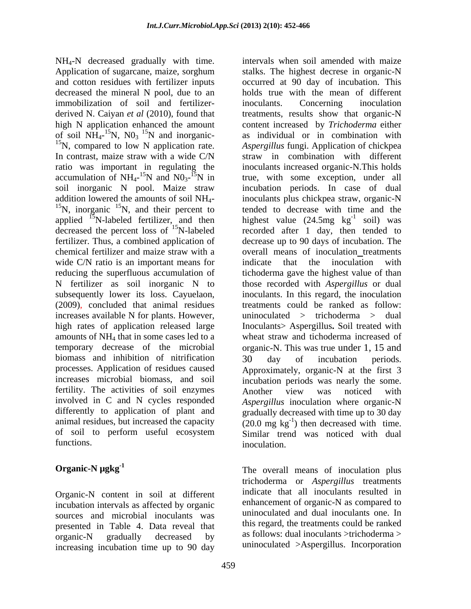NH4-N decreased gradually with time. Application of sugarcane, maize, sorghum stalks. The highest decrese in organic-N and cotton residues with fertilizer inputs occurred at 90 day of incubation. This decreased the mineral N pool, due to an holds true with the mean of different immobilization of soil and fertilizer- inoculants. Concerning inoculation derived N. Caiyan *et al* (2010), found that treatments, results show that organic-N high N application enhanced the amount content increased by *Trichoderma* either of soil  $NH_{4}$ -<sup>15</sup>N, N0<sub>3</sub><sup>15</sup>N and inorganic-<br><sup>15</sup>N, compared to low N application rate. of soil  $\overline{NH}_4$ -<sup>15</sup>N, NO<sub>3</sub><sup>15</sup>N and inorganic-<br><sup>15</sup>N, compared to low N application rate. *Aspergillus* fungi. Application of chickpea In contrast, maize straw with a wide C/N straw in combination with different ratio was important in regulating the inoculants increased organic-N.This holds accumulation of NH<sub>4</sub>-<sup>15</sup>N and NO<sub>3</sub>-<sup>15</sup>N in soil inorganic N pool. Maize straw soil inorganic N pool. Maize straw incubation periods. In case of dual addition lowered the amounts of soil  $NH_4$ - inoculants plus chickpea straw, organic-N<br><sup>15</sup>N, inorganic <sup>15</sup>N, and their percent to tended to decrease with time and the applied  ${}^{15}$ N-labeled fertilizer, and then decreased the percent loss of  $^{15}$ N-labeled fertilizer. Thus, a combined application of decrease up to 90 days of incubation. The chemical fertilizer and maize straw with a solution are overall means of inoculation treatments wide C/N ratio is an important means for indicate that the inoculation with reducing the superfluous accumulation of tichoderma gave the highest value of than N fertilizer as soil inorganic N to those recorded with *Aspergillus* or dual subsequently lower its loss. Cayuelaon, inoculants. In this regard, the inoculation (2009), concluded that animal residues increases available N for plants. However, high rates of application released large Inoculants> Aspergillus**.** Soil treated with amounts of NH4 that in some cases led to a wheat straw and tichoderma increased of temporary decrease of the microbial organic-N. This was true under 1, 15 and biomass and inhibition of nitrification 30 day of incubation periods. processes. Application of residues caused Approximately, organic-N at the first 3 increases microbial biomass, and soil incubation periods was nearly the some. fertility. The activities of soil enzymes Another view was noticed with involved in C and N cycles responded *Aspergillus* inoculation where organic-N differently to application of plant and animal residues, but increased the capacity  $(20.0 \text{ mg kg}^{-1})$  then decreased with time. of soil to perform useful ecosystem Similar trend was noticed with dual

Organic-N content in soil at different incubation intervals as affected by organic sources and microbial inoculants was presented in Table 4. Data reveal that organic-N gradually decreased by as follows: qual inoculants >trichoderma > increasing incubation time up to 90 day

459

functions. The interval of the contraction of the interval interval interval intervals in  $\mathbf{r}$  intervals in  $\mathbf{r}$  intervals in  $\mathbf{r}$  in  $\mathbf{r}$  in  $\mathbf{r}$  is the interval interval in  $\mathbf{r}$  in  $\mathbf{r}$  is the intervals when soil amended with maize stalks. The highest decrese in organic-N inoculants. Concerning inoculation as individual or in combination with *Aspergillus*fungi. Application of chickpea true, with some exception, under all inoculants plus chickpea straw, organic-N tended to decrease with time and the highest value  $(24.5mg \text{ kg}^{-1} \text{ soil})$  was  $^{-1}$  soil west soil) was recorded after 1 day, then tended to indicate that the inoculation with treatments could be ranked as follow: uninoculated > trichoderma > dual 30 day of incubation periods. Another view was noticed with gradually decreased with time up to 30 day inoculation.

**Organic-N**  $\mu$ gkg<sup>-1</sup> The overall means of inoculation plus trichoderma or *Aspergillus* treatments indicate that all inoculants resulted in enhancement of organic-N as compared to uninoculated and dual inoculants one. In this regard, the treatments could be ranked as follows: dual inoculants >trichoderma > uninoculated >Aspergillus. Incorporation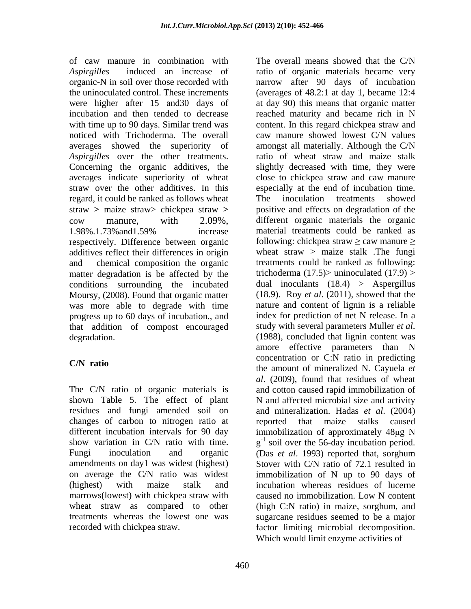*Aspirgilles* induced an increase of ratio of organic materials became very organic-N in soil over those recorded with narrow after 90 days of incubation the uninoculated control. These increments (averages of 48.2:1 at day 1, became 12:4 were higher after 15 and30 days of at day 90) this means that organic matter incubation and then tended to decrease reached maturity and became rich in N with time up to 90 days. Similar trend was content. In this regard chickpea straw and noticed with Trichoderma. The overall averages showed the superiority of amongst all materially. Although the C/N *Aspirgilles* over the other treatments. Concerning the organic additives, the slightly decreased with time, they were averages indicate superiority of wheat close to chickpea straw and caw manure straw over the other additives. In this especially at the end of incubation time. regard, it could be ranked as follows wheat The inoculation treatments showed straw **>** maize straw> chickpea straw **>** positive and effects on degradation of the cow manure, with 2.09%, different organic materials the organic 1.98%.1.73%and1.59% increase respectively. Difference between organic additives reflect their differences in origin and chemical composition the organic treatments could be ranked as following: matter degradation is be affected by the conditions surrounding the incubated Moursy, (2008). Found that organic matter was more able to degrade with time progress up to 60 days of incubation., and index for prediction of net N release. In a that addition of compost encouraged study with several parameters Muller *et al.* that addition of compost encouraged degradation. (1988), concluded that lignin content was

residues and fungi amended soil on changes of carbon to nitrogen ratio at Fungi inoculation and organic (Das *et al.* 1993) reported that, sorghum marrows(lowest) with chickpea straw with

of caw manure in combination with The overall means showed that the C/N **C/N ratio** the amount of mineralized N. Cayuela *et*  The C/N ratio of organic materials is and cotton caused rapid immobilization of shown Table 5. The effect of plant N and affected microbial size and activity different incubation intervals for 90 day immobilization of approximately 48µg N show variation in C/N ratio with time.  $g^{-1}$  soil over the 56-day incubation period. amendments on day1 was widest (highest) Stover with C/N ratio of 72.1 resulted in on average the C/N ratio was widest immobilization of N up to 90 days of (highest) with maize stalk and incubation whereas residues of lucerne wheat straw as compared to other (high C:N ratio) in maize, sorghum, and treatments whereas the lowest one was sugarcane residues seemed to be a major recorded with chickpea straw. factor limiting microbial decomposition. The overall means showed that the C/N caw manure showed lowest C/N values ratio of wheat straw and maize stalk The inoculation treatments showed material treatments could be ranked as following: chickpea straw  $\geq$  caw manure  $\geq$ wheat straw > maize stalk .The fungi trichoderma  $(17.5)$  uninoculated  $(17.9)$ dual inoculants (18.4) > Aspergillus (18.9). Roy *et al*. (2011), showed that the nature and content of lignin is a reliable index for prediction of net N release. In a study with several parameters Muller *et al*. (1988), concluded that lignin content was amore effective parameters than N concentration or C:N ratio in predicting *al*. (2009), found that residues of wheat and mineralization. Hadas *et al*. (2004) reported that maize stalks caused (Das *et al*. 1993) reported that, sorghum caused no immobilization. Low N content Which would limit enzyme activities of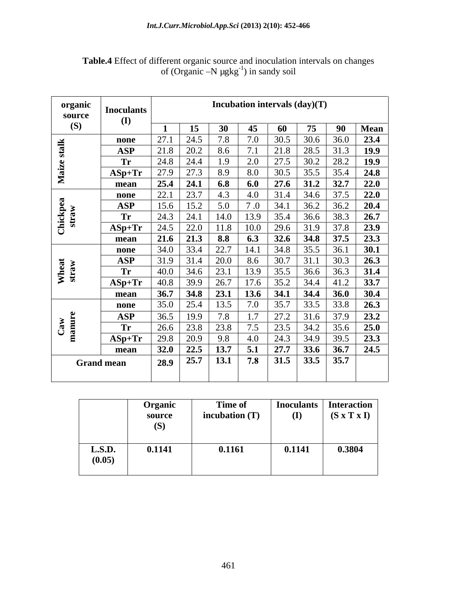| organic<br>source | <b>Inoculants</b> |      |             |                   |      |                                     | Incubation intervals (day)(T) |             |      |
|-------------------|-------------------|------|-------------|-------------------|------|-------------------------------------|-------------------------------|-------------|------|
| (S)               | ( <b>I</b> )      |      | 15          | <b>30</b>         | 45   | 60                                  | 75                            | 90          | Mean |
|                   | none              | 27.1 | 24.5        | 7.8               | 7.0  | 30.5                                | 30.6                          | 36.0        | 23.4 |
| stalk             | <b>ASP</b>        | 21.8 | 20.2        | 8.6               | 7.1  | 21.8                                | 28.5                          | 31.3        | 19.9 |
|                   | <b>Tr</b>         | 24.8 | 24.4        | 1.9               | 2.0  | 27.5                                | 30.2                          | 28.2        | 19.9 |
| Maize             | $ASp+Tr$          | 27.9 | 27.3        | 8.9               | 8.0  | 30.5                                | 35.5                          | 35.4        | 24.8 |
|                   | mean              | 25.4 | 24.1        | 6.8               | 6.0  | 27.6                                | 31.2                          | 32.7        | 22.0 |
|                   | none              | 22.1 | 23.7        | 4.3               | 4.0  | 31.4                                | 34.6                          | 37.5        | 22.0 |
| Chickpea<br>straw | <b>ASP</b>        | 15.6 | 15.2        | 5.0               | 7.0  | 34.1                                | $\overline{36.2}$             | 36.2        | 20.4 |
|                   | <b>Tr</b>         | 24.3 | 24.1        | 14.0              | 13.9 | 35.4                                | 36.6                          | 38.3        | 26.7 |
|                   | $ASp+Tr$          | 24.5 | 22.0        | 11.8              | 10.0 | 29.6                                | 31.9                          | 37.8        | 23.9 |
|                   | mean              |      | $21.6$ 21.3 | 8.8               | 6.3  | 32.6                                | 34.8                          | 37.5        | 23.3 |
|                   | none              | 34.0 | 33.4        | 22.7              | 14.1 | 34.8                                | 35.5                          | 36.1        | 30.1 |
|                   | <b>ASP</b>        | 31.9 | 31.4        | 20.0              | 8.6  | 30.7                                | 31.1                          | 30.3        | 26.3 |
| Wheat<br>straw    | <b>Tr</b>         | 40.0 | 34.6        | 23.1              | 13.9 | 35.5                                | 36.6                          | 36.3        | 31.4 |
|                   | $ASp+Tr$          | 40.8 | 39.9        | 26.7              | 17.6 | 35.2                                | 34.4                          | 41.2        | 33.7 |
|                   | mean              | 36.7 | 34.8        | 23.1              | 13.6 | 34.1                                | 34.4                          | <b>36.0</b> | 30.4 |
|                   | none              | 35.0 | 25.4        | $\overline{1}3.5$ | 7.0  | 35.7                                | 33.5                          | 33.8        | 26.3 |
|                   | <b>ASP</b>        | 36.5 | 19.9        | 7.8               | 1.7  |                                     | 31.6                          | 37.9        | 23.2 |
|                   | <b>Tr</b>         | 26.6 | 23.8        | 23.8              | 7.5  |                                     | $\overline{34.2}$             | 35.6        | 25.0 |
| Caw<br>manure     | $ASp+Tr$          | 29.8 | 20.9        | 9.8               | 4.0  |                                     | 34.9                          | 39.5        | 23.3 |
|                   | mean              |      | $32.0$ 22.5 | 13.7              | 5.1  | $\frac{27.2}{23.5}$<br>24.3<br>27.7 | 33.6                          | 36.7        | 24.5 |
|                   | <b>Grand mean</b> | 28.9 | 25.7        | 13.1              | 7.8  | 31.5                                | 33.5                          | 35.7        |      |
|                   |                   |      |             |                   |      |                                     |                               |             |      |

## **Table.4** Effect of different organic source and inoculation intervals on changes of (Organic  $-N$  µgkg<sup>-1</sup>) in sandy soil

|                  | <b>Organic</b><br>source<br>(S) | Time of<br>incubation $(T)$ | (I)    | Inoculants   Interaction  <br>$(S \times T \times I)$ |
|------------------|---------------------------------|-----------------------------|--------|-------------------------------------------------------|
| L.S.D.<br>(0.05) | 0.1141                          | 0.1161                      | 0.1141 | 0.3804                                                |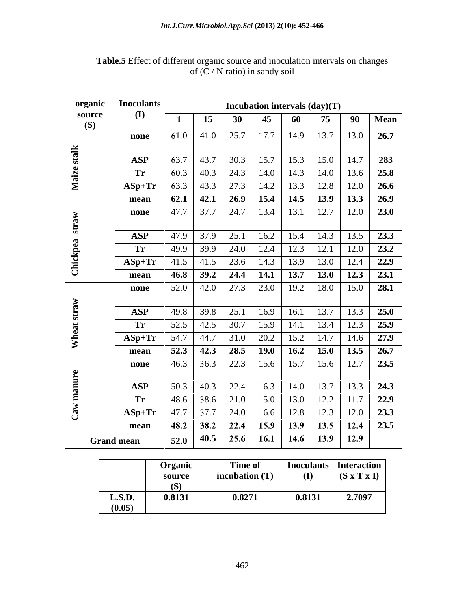| (I)<br>source<br>15<br>45<br>90<br><b>Mean</b><br>30<br>60<br>75<br>(S)<br>$61.0$ 41.0 25.7<br>17.7<br>13.7<br>14.9<br>13.0<br>26.7<br>none<br>Maize stalk<br>30.3<br>283<br>15.7<br>15.3<br>15.0<br>14.7<br>63.7<br>43.7<br><b>ASP</b><br>$60.3$ 40.3 24.3<br>25.8<br>14.0<br>14.3<br>14.0<br>13.6<br><b>Tr</b><br>$63.3$ 43.3 27.3<br>13.3<br>12.8<br>14.2<br>12.0<br>26.6<br>$ASp+Tr$<br>14.5<br>$\begin{array}{ c c c c c c c c c } \hline 62.1 & 42.1 & 26.9 \hline \end{array}$<br>15.4<br>$\boxed{13.9}$<br>26.9<br>13.3<br>mean<br>$37.7$ 24.7<br>13.4<br>13.1<br>12.7<br>12.0<br>23.0<br>47.7<br>none<br>straw<br>$37.9$ 25.1<br>16.2<br>15.4<br>14.3<br>13.5<br>23.3<br>47.9<br><b>ASP</b><br>Chickpea<br>$\begin{array}{ c c } \hline 24.0 \\ \hline \end{array}$<br>12.4<br>12.3<br>12.1<br>12.0<br>23.2<br>49.9<br>39.9<br><b>Tr</b><br>$41.5$ 41.5 23.6 14.3<br>13.0<br>13.9<br>22.9<br>12.4<br>$ASp+Tr$<br>13.7<br>$39.2$ 24.4<br>13.0<br>14.1<br>12.3<br>23.1<br>46.8<br>mean<br>23.0<br>$42.0$ 27.3<br>18.0<br>28.1<br>19.2<br>52.0<br>15.0<br>none<br>Wheat straw<br>$39.8$ 25.1<br>13.7<br>16.9<br>16.1<br>13.3<br>25.0<br>49.8<br><b>ASP</b><br>$42.5$ 30.7<br>15.9<br>14.1<br>13.4<br>52.5<br>12.3<br>25.9<br><b>Tr</b><br>20.2<br>15.2<br>14.7<br>$54.7$ 44.7 31.0<br>27.9<br>$\bf{ASp+Tr}$<br>14.6<br>$52.3$ 42.3 28.5<br>19.0<br>16.2<br>15.0<br>26.7<br>13.5<br>mean<br>15.7<br>$36.3$ 22.3<br>15.6<br>15.6<br>23.5<br>12.7<br>46.3<br>none<br>manure<br>22.4<br>13.7<br>40.3<br>16.3<br>14.0<br>24.3<br>50.3<br>13.3<br><b>ASP</b><br>$38.6$ 21.0<br>15.0<br>13.0<br>12.2<br>22.9<br><b>Tr</b><br>48.6<br>11.7<br>$\mathbf{Cav}$<br>37.7<br>$\begin{array}{ c c } \hline 24.0 \\ \hline \end{array}$<br>12.8<br>12.3<br>12.0<br>23.3<br>47.7<br>16.6<br>$\bf{ASp+Tr}$<br>$38.2$ 22.4<br>15.9<br>13.9<br>13.5<br>23.5<br>12.4<br>48.2<br>mean<br>14.6<br>12.9<br>$52.0$   40.5  <br><b>Grand mean</b> | organic | <b>Inoculants</b> |  |      |             | Incubation intervals (day)(T) |  |
|--------------------------------------------------------------------------------------------------------------------------------------------------------------------------------------------------------------------------------------------------------------------------------------------------------------------------------------------------------------------------------------------------------------------------------------------------------------------------------------------------------------------------------------------------------------------------------------------------------------------------------------------------------------------------------------------------------------------------------------------------------------------------------------------------------------------------------------------------------------------------------------------------------------------------------------------------------------------------------------------------------------------------------------------------------------------------------------------------------------------------------------------------------------------------------------------------------------------------------------------------------------------------------------------------------------------------------------------------------------------------------------------------------------------------------------------------------------------------------------------------------------------------------------------------------------------------------------------------------------------------------------------------------------------------------------------------------------------------------------------------------------------------------------------------------------------------------------------------------------------------------------------------------------------------------|---------|-------------------|--|------|-------------|-------------------------------|--|
|                                                                                                                                                                                                                                                                                                                                                                                                                                                                                                                                                                                                                                                                                                                                                                                                                                                                                                                                                                                                                                                                                                                                                                                                                                                                                                                                                                                                                                                                                                                                                                                                                                                                                                                                                                                                                                                                                                                                |         |                   |  |      |             |                               |  |
|                                                                                                                                                                                                                                                                                                                                                                                                                                                                                                                                                                                                                                                                                                                                                                                                                                                                                                                                                                                                                                                                                                                                                                                                                                                                                                                                                                                                                                                                                                                                                                                                                                                                                                                                                                                                                                                                                                                                |         |                   |  |      |             |                               |  |
|                                                                                                                                                                                                                                                                                                                                                                                                                                                                                                                                                                                                                                                                                                                                                                                                                                                                                                                                                                                                                                                                                                                                                                                                                                                                                                                                                                                                                                                                                                                                                                                                                                                                                                                                                                                                                                                                                                                                |         |                   |  |      |             |                               |  |
|                                                                                                                                                                                                                                                                                                                                                                                                                                                                                                                                                                                                                                                                                                                                                                                                                                                                                                                                                                                                                                                                                                                                                                                                                                                                                                                                                                                                                                                                                                                                                                                                                                                                                                                                                                                                                                                                                                                                |         |                   |  |      |             |                               |  |
|                                                                                                                                                                                                                                                                                                                                                                                                                                                                                                                                                                                                                                                                                                                                                                                                                                                                                                                                                                                                                                                                                                                                                                                                                                                                                                                                                                                                                                                                                                                                                                                                                                                                                                                                                                                                                                                                                                                                |         |                   |  |      |             |                               |  |
|                                                                                                                                                                                                                                                                                                                                                                                                                                                                                                                                                                                                                                                                                                                                                                                                                                                                                                                                                                                                                                                                                                                                                                                                                                                                                                                                                                                                                                                                                                                                                                                                                                                                                                                                                                                                                                                                                                                                |         |                   |  |      |             |                               |  |
|                                                                                                                                                                                                                                                                                                                                                                                                                                                                                                                                                                                                                                                                                                                                                                                                                                                                                                                                                                                                                                                                                                                                                                                                                                                                                                                                                                                                                                                                                                                                                                                                                                                                                                                                                                                                                                                                                                                                |         |                   |  |      |             |                               |  |
|                                                                                                                                                                                                                                                                                                                                                                                                                                                                                                                                                                                                                                                                                                                                                                                                                                                                                                                                                                                                                                                                                                                                                                                                                                                                                                                                                                                                                                                                                                                                                                                                                                                                                                                                                                                                                                                                                                                                |         |                   |  |      |             |                               |  |
|                                                                                                                                                                                                                                                                                                                                                                                                                                                                                                                                                                                                                                                                                                                                                                                                                                                                                                                                                                                                                                                                                                                                                                                                                                                                                                                                                                                                                                                                                                                                                                                                                                                                                                                                                                                                                                                                                                                                |         |                   |  |      |             |                               |  |
|                                                                                                                                                                                                                                                                                                                                                                                                                                                                                                                                                                                                                                                                                                                                                                                                                                                                                                                                                                                                                                                                                                                                                                                                                                                                                                                                                                                                                                                                                                                                                                                                                                                                                                                                                                                                                                                                                                                                |         |                   |  |      |             |                               |  |
|                                                                                                                                                                                                                                                                                                                                                                                                                                                                                                                                                                                                                                                                                                                                                                                                                                                                                                                                                                                                                                                                                                                                                                                                                                                                                                                                                                                                                                                                                                                                                                                                                                                                                                                                                                                                                                                                                                                                |         |                   |  |      |             |                               |  |
|                                                                                                                                                                                                                                                                                                                                                                                                                                                                                                                                                                                                                                                                                                                                                                                                                                                                                                                                                                                                                                                                                                                                                                                                                                                                                                                                                                                                                                                                                                                                                                                                                                                                                                                                                                                                                                                                                                                                |         |                   |  |      |             |                               |  |
|                                                                                                                                                                                                                                                                                                                                                                                                                                                                                                                                                                                                                                                                                                                                                                                                                                                                                                                                                                                                                                                                                                                                                                                                                                                                                                                                                                                                                                                                                                                                                                                                                                                                                                                                                                                                                                                                                                                                |         |                   |  |      |             |                               |  |
|                                                                                                                                                                                                                                                                                                                                                                                                                                                                                                                                                                                                                                                                                                                                                                                                                                                                                                                                                                                                                                                                                                                                                                                                                                                                                                                                                                                                                                                                                                                                                                                                                                                                                                                                                                                                                                                                                                                                |         |                   |  |      |             |                               |  |
|                                                                                                                                                                                                                                                                                                                                                                                                                                                                                                                                                                                                                                                                                                                                                                                                                                                                                                                                                                                                                                                                                                                                                                                                                                                                                                                                                                                                                                                                                                                                                                                                                                                                                                                                                                                                                                                                                                                                |         |                   |  |      |             |                               |  |
|                                                                                                                                                                                                                                                                                                                                                                                                                                                                                                                                                                                                                                                                                                                                                                                                                                                                                                                                                                                                                                                                                                                                                                                                                                                                                                                                                                                                                                                                                                                                                                                                                                                                                                                                                                                                                                                                                                                                |         |                   |  |      |             |                               |  |
|                                                                                                                                                                                                                                                                                                                                                                                                                                                                                                                                                                                                                                                                                                                                                                                                                                                                                                                                                                                                                                                                                                                                                                                                                                                                                                                                                                                                                                                                                                                                                                                                                                                                                                                                                                                                                                                                                                                                |         |                   |  |      |             |                               |  |
|                                                                                                                                                                                                                                                                                                                                                                                                                                                                                                                                                                                                                                                                                                                                                                                                                                                                                                                                                                                                                                                                                                                                                                                                                                                                                                                                                                                                                                                                                                                                                                                                                                                                                                                                                                                                                                                                                                                                |         |                   |  |      |             |                               |  |
|                                                                                                                                                                                                                                                                                                                                                                                                                                                                                                                                                                                                                                                                                                                                                                                                                                                                                                                                                                                                                                                                                                                                                                                                                                                                                                                                                                                                                                                                                                                                                                                                                                                                                                                                                                                                                                                                                                                                |         |                   |  |      |             |                               |  |
|                                                                                                                                                                                                                                                                                                                                                                                                                                                                                                                                                                                                                                                                                                                                                                                                                                                                                                                                                                                                                                                                                                                                                                                                                                                                                                                                                                                                                                                                                                                                                                                                                                                                                                                                                                                                                                                                                                                                |         |                   |  |      |             |                               |  |
|                                                                                                                                                                                                                                                                                                                                                                                                                                                                                                                                                                                                                                                                                                                                                                                                                                                                                                                                                                                                                                                                                                                                                                                                                                                                                                                                                                                                                                                                                                                                                                                                                                                                                                                                                                                                                                                                                                                                |         |                   |  |      |             |                               |  |
|                                                                                                                                                                                                                                                                                                                                                                                                                                                                                                                                                                                                                                                                                                                                                                                                                                                                                                                                                                                                                                                                                                                                                                                                                                                                                                                                                                                                                                                                                                                                                                                                                                                                                                                                                                                                                                                                                                                                |         |                   |  |      |             |                               |  |
|                                                                                                                                                                                                                                                                                                                                                                                                                                                                                                                                                                                                                                                                                                                                                                                                                                                                                                                                                                                                                                                                                                                                                                                                                                                                                                                                                                                                                                                                                                                                                                                                                                                                                                                                                                                                                                                                                                                                |         |                   |  |      |             |                               |  |
|                                                                                                                                                                                                                                                                                                                                                                                                                                                                                                                                                                                                                                                                                                                                                                                                                                                                                                                                                                                                                                                                                                                                                                                                                                                                                                                                                                                                                                                                                                                                                                                                                                                                                                                                                                                                                                                                                                                                |         |                   |  |      |             |                               |  |
|                                                                                                                                                                                                                                                                                                                                                                                                                                                                                                                                                                                                                                                                                                                                                                                                                                                                                                                                                                                                                                                                                                                                                                                                                                                                                                                                                                                                                                                                                                                                                                                                                                                                                                                                                                                                                                                                                                                                |         |                   |  |      |             |                               |  |
|                                                                                                                                                                                                                                                                                                                                                                                                                                                                                                                                                                                                                                                                                                                                                                                                                                                                                                                                                                                                                                                                                                                                                                                                                                                                                                                                                                                                                                                                                                                                                                                                                                                                                                                                                                                                                                                                                                                                |         |                   |  |      |             |                               |  |
|                                                                                                                                                                                                                                                                                                                                                                                                                                                                                                                                                                                                                                                                                                                                                                                                                                                                                                                                                                                                                                                                                                                                                                                                                                                                                                                                                                                                                                                                                                                                                                                                                                                                                                                                                                                                                                                                                                                                |         |                   |  |      |             |                               |  |
|                                                                                                                                                                                                                                                                                                                                                                                                                                                                                                                                                                                                                                                                                                                                                                                                                                                                                                                                                                                                                                                                                                                                                                                                                                                                                                                                                                                                                                                                                                                                                                                                                                                                                                                                                                                                                                                                                                                                |         |                   |  | 25.6 | <b>16.1</b> | 13.9                          |  |

**Table.5** Effect of different organic source and inoculation intervals on changes of (C / N ratio) in sandy soil

|        | Organic | <b>Time of</b>   |              | Inoculants   Interaction                                     |
|--------|---------|------------------|--------------|--------------------------------------------------------------|
|        | source  | incubation $(T)$ | $\mathbf{I}$ | <b>CONTRACTOR</b><br>$\mathbf{T} \times \mathbf{I}$<br>(SX') |
|        |         |                  |              |                                                              |
| L.S.D. | 0.8131  | 0.8271           | 0.8131       | 2.7097                                                       |
| (0.05) |         |                  |              |                                                              |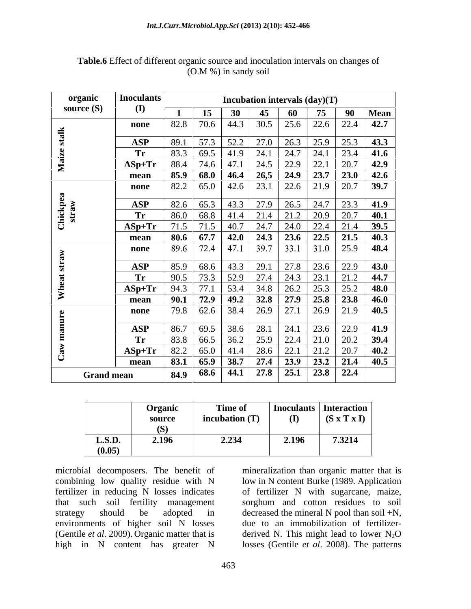| organic           | <b>Inoculants</b>       |      |                                         |              |                                                                      | Incubation intervals $(\text{day})(T)$                                                              |                     |      |              |
|-------------------|-------------------------|------|-----------------------------------------|--------------|----------------------------------------------------------------------|-----------------------------------------------------------------------------------------------------|---------------------|------|--------------|
| source $(S)$      | $\mathbf{I}$            |      | 15                                      | 30           | 45                                                                   | 60                                                                                                  | 75                  | 90   | <b>Mean</b>  |
|                   | none                    | 82.8 | 70.6 44.3                               |              | 30.5                                                                 | 25.6                                                                                                | $22.6$ 22.4         |      | 42.7         |
| stalk             |                         | 89.1 |                                         |              |                                                                      | 26.3                                                                                                |                     |      |              |
|                   | <b>ASP</b><br><b>Tr</b> | 83.3 | 57.3 52.2<br>69.5                       | 41.9         | 27.0<br>24.1                                                         | 24.7                                                                                                | $25.9$ 25.3<br>24.1 | 23.4 | 43.3<br>41.6 |
| Maize             | $ASp+Tr$                | 88.4 | $74.6$ 47.1                             |              |                                                                      | $22.9$ 22.1                                                                                         |                     | 20.7 | 42.9         |
|                   | mean                    | 85.9 | $68.0$ 46.4 26,5 24.9 23.7 23.0         |              |                                                                      |                                                                                                     |                     |      | 42.6         |
|                   |                         | 82.2 | $65.0$ 42.6 23.1                        |              |                                                                      |                                                                                                     | 22.6 21.9 20.7      |      | 39.7         |
|                   | none                    |      |                                         |              |                                                                      |                                                                                                     |                     |      |              |
|                   | <b>ASP</b>              | 82.6 | $65.3$ 43.3 27.9                        |              |                                                                      |                                                                                                     | $26.5$ 24.7 23.3    |      | 41.9         |
|                   | Tr                      | 86.0 | 68.8                                    | $\vert$ 41.4 | 21.4                                                                 | 21.2                                                                                                | $20.9$ 20.7         |      | 40.1         |
| Chickpea<br>straw | $ASp+Tr$                | 71.5 | 71.5                                    | 40.7         | 24.7                                                                 | 24.0                                                                                                | 22.4                | 21.4 | 39.5         |
|                   | mean                    | 80.6 | 67.7                                    |              |                                                                      | 42.0   24.3   23.6   22.5   21.5                                                                    |                     |      | 40.3         |
|                   | none                    | 89.6 | 72.4 47.1                               |              | 39.7                                                                 | 33.1                                                                                                | $31.0$ 25.9         |      | 48.4         |
|                   | <b>ASP</b>              | 85.9 | 68.6   43.3   29.1                      |              |                                                                      | 27.8                                                                                                | $23.6$ 22.9         |      | 43.0         |
|                   | Tr                      | 90.5 | 73.3                                    |              | 27.4                                                                 | $24.3$ 23.1                                                                                         |                     | 21.2 | 44.7         |
|                   | $ASp+Tr$                | 94.3 | 77.1                                    |              | $\begin{array}{ c c c c c } \hline 53.4 & 34.8 \\\hline \end{array}$ |                                                                                                     | $26.2$ 25.3 25.2    |      | 48.0         |
| $\mathbf{W}$      |                         | 90.1 | 72.9   49.2   32.8   27.9   25.8   23.8 |              |                                                                      |                                                                                                     |                     |      | 46.0         |
|                   | mean                    | 79.8 | $62.6$ 38.4                             |              | 26.9                                                                 | 27.1                                                                                                | $26.9$ 21.9         |      | 40.5         |
|                   | none                    |      |                                         |              |                                                                      |                                                                                                     |                     |      |              |
|                   | <b>ASP</b>              | 86.7 | 69.5                                    |              | $38.6$ 28.1                                                          | 24.1                                                                                                | $23.6$ 22.9         |      | 41.9         |
|                   | Tr                      | 83.8 | 66.5                                    | 36.2         | 25.9                                                                 | 22.4                                                                                                | $21.0$ 20.2         |      | 39.4         |
|                   | $ASp+Tr$                | 82.2 | 65.0                                    | 41.4         | 28.6                                                                 | 22.1                                                                                                | 21.2                | 20.7 | 40.2         |
|                   | mean                    | 83.1 | 65.9                                    | $38.7$       |                                                                      | $\begin{array}{ c c c c c c c c c } \hline \hline & 27.4 & 23.9 & 23.2 & 21.4 \\\hline \end{array}$ |                     |      | 40.5         |
|                   | <b>Grand mean</b>       | 84.9 | 68.6 44.1 27.8                          |              |                                                                      | 25.1                                                                                                | $23.8$ 22.4         |      |              |

**Table.6** Effect of different organic source and inoculation intervals on changes of (O.M %) in sandy soil

|        | Organic | <b>Time of</b>   | <b>Inoculants</b> | Interaction                           |
|--------|---------|------------------|-------------------|---------------------------------------|
|        | source  | incubation $(T)$ | $($ $\Gamma$      | <b>TIP</b><br>$(S \times T \times I)$ |
|        | (S)     |                  |                   |                                       |
| L.S.D. | 2.196   | 2.234            | 2.196             | 7.3214                                |
| (0.05) |         |                  |                   |                                       |

microbial decomposers. The benefit of combining low quality residue with N fertilizer in reducing N losses indicates of fertilizer N with sugarcane, maize, that such soil fertility management sorghum and cotton residues to soil strategy should be adopted in decreased the mineral N pool than soil +N, environments of higher soil N losses due to an immobilization of fertilizer- (Gentile *et al.* 2009). Organic matter that is derived N. This might lead to lower N<sub>2</sub>O high in N content has greater N losses (Gentile *et al*. 2008). The patterns

mineralization than organic matter that is low in N content Burke (1989. Application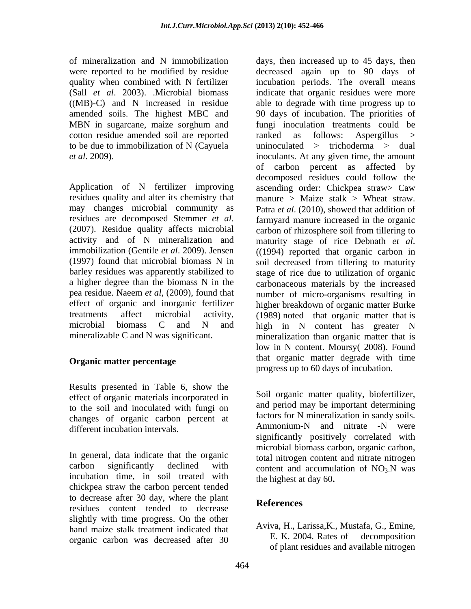amended soils. The highest MBC and cotton residue amended soil are reported

residues quality and alter its chemistry that may changes microbial community as residues are decomposed Stemmer  $et$  al. residues are decomposed Stemmer *et al*. farmyard manure increased in the organic (2007). Residue quality affects microbial carbon of rhizosphere soil from tillering to activity and of N mineralization and maturity stage of rice Debnath et al. immobilization (Gentile *et al*. 2009). Jensen (1997) found that microbial biomass N in soil decreased from tillering to maturity barley residues was apparently stabilized to stage of rice due to utilization of organic a higher degree than the biomass N in the carbonaceous materials by the increased pea residue. Naeem *et al*, (2009), found that number of micro-organisms resulting in effect of organic and inorganic fertilizer higher breakdown of organic matter Burke treatments affect microbial activity, (1989) noted that organic matter that is microbial biomass C and N and high in N content has greater N

### **Organic matter percentage**

Results presented in Table 6, show the effect of organic materials incorporated in to the soil and inoculated with fungi on changes of organic carbon percent at the distance of the changes of organic carbon percent at the Ammonium-N and nitrate -N were different incubation intervals.

In general, data indicate that the organic incubation time, in soil treated with chickpea straw the carbon percent tended to decrease after 30 day, where the plant<br>
References residues content tended to decrease slightly with time progress. On the other hand maize stalk treatment indicated that AVIVa, H., Larissa, K., Mustafa, G., Emine,<br>example experience that the server of the S. K. 2004. Rates of decomposition organic carbon was decreased after 30

of mineralization and N immobilization days, then increased up to 45 days, then were reported to be modified by residue decreased again up to 90 days of quality when combined with N fertilizer incubation periods. The overall means (Sall *et al*. 2003). .Microbial biomass indicate that organic residues were more ((MB)-C) and N increased in residue able to degrade with time progress up to MBN in sugarcane, maize sorghum and fungi inoculation treatments could be to be due to immobilization of N (Cayuela uninoculated > trichoderma > dual *et al.* 2009). <br> *et al.* 2009). <br> *et al.* 2009). <br> *et al.* 2009). <br> *of carbon percent as affected by decomposed residues could follow the ascending order: Chickpea straw> Caw* mineralizable C and N was significant. mineralization than organic matter that is 90 days of incubation. The priorities of fungi inoculation treatments could be ranked as follows: Aspergillus > inoculants. At any given time, the amount of carbon percent as affected by decomposed residues could follow the ascending order: Chickpea straw> Caw manure > Maize stalk > Wheat straw. Patra *et al*. (2010), showed that addition of farmyard manure increased in the organic carbon of rhizosphere soil from tillering to maturity stage of rice Debnath *et al*. ((1994) reported that organic carbon in low in N content. Moursy( 2008). Found that organic matter degrade with time progress up to 60 days of incubation.

carbon significantly declined with content and accumulation of  $NO<sub>3</sub>$ . N was Soil organic matter quality, biofertilizer, and period may be important determining factors for N mineralization in sandy soils. Ammonium-N and nitrate -N were significantly positively correlated with microbial biomass carbon, organic carbon, total nitrogen content and nitrate nitrogen the highest at day 60**.**

## **References**

Aviva, H., Larissa,K., Mustafa, G., Emine, E. K. 2004. Rates of decomposition of plant residues and available nitrogen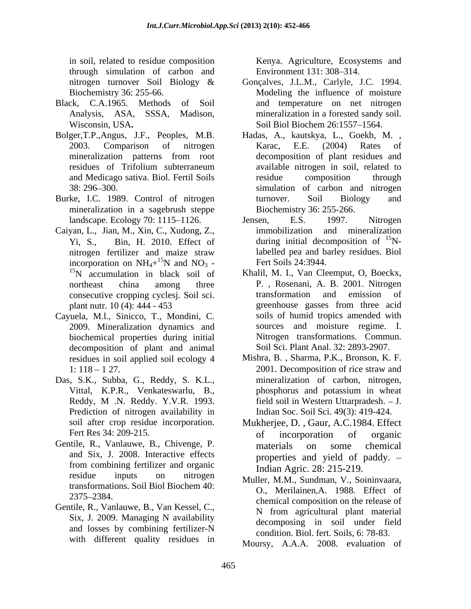in soil, related to residue composition Kenya. Agriculture, Ecosystems and through simulation of carbon and

- Black, C.A.1965. Methods of Soil and temperature on net nitrogen
- 
- Burke, I.C. 1989. Control of nitrogen turnover. Soil Biology and mineralization in a sagebrush steppe
- Caiyan, L., Jian, M., Xin, C., Xudong, Z., incorporation on  $NH_4+{}^{15}N$  and  $NO_3$  -<br><sup>15</sup>N accumulation in black soil of incorporation on  $NH_4+^{15}N$  and  $NO_3$  - 15N accumulation in black soil of Khalil, M. I., Van Cleemput, O, Boeckx,
- Cayuela, M.l., Sinicco, T., Mondini, C. 2009. Mineralization dynamics and biochemical properties during initial decomposition of plant and animal
- Das, S.K., Subba, G., Reddy, S. K.L., Prediction of nitrogen availability in
- Gentile, R., Vanlauwe, B., Chivenge, P. materials on some chemical and Six, J. 2008. Interactive effects from combining fertilizer and organic residue inputs on nitrogen Muller MM Sundman V Soininvaara transformations. Soil Biol Biochem 40:
- Gentile, R., Vanlauwe, B., Van Kessel, C., Six, J. 2009. Managing N availability and losses by combining fertilizer-N with different quality residues in

Environment 131: 308–314.

- nitrogen turnover Soil Biology & Gonçalves, J.L.M., Carlyle, J.C. 1994. Biochemistry 36: 255-66. Modeling the influence of moisture Analysis, ASA, SSSA, Madison, mineralization in a forested sandy soil. Wisconsin, USA. Soil Biol Biochem 26:1557–1564. Soil Biol Biochem 26:1557-1564.
- Bolger,T.P.,Angus, J.F., Peoples, M.B. Hadas, A., kautskya, L., Goekb, M. , 2003. Comparison of nitrogen Karac, E.E. (2004) Rates of mineralization patterns from root decomposition of plant residues and residues of Trifolium subterraneum and Medicago sativa. Biol. Fertil Soils 38: 296 300. simulation of carbon and nitrogen Karac, E.E. (2004) Rates of decomposition of plant residues and available nitrogen in soil, related to residue composition through turnover. Soil Biology and Biochemistry 36: 255-266.
	- landscape. Ecology 70: 1115–1126. Jensen, E.S. 1997. Nitrogen Yi, S., Bin, H. 2010. Effect of during initial decomposition of <sup>15</sup>Nnitrogen fertilizer and maize straw labelled pea and barley residues. Biol Jensen, E.S. 1997. Nitrogen immobilization and mineralization labelled pea and barley residues. Biol Fert Soils 24:3944.
	- northeast china among three P. , Rosenani, A. B. 2001. Nitrogen consecutive cropping cyclesj. Soil sci. plant nutr. 10 (4): 444 - 453 greenhouse gasses from three acid Khalil, M. I., Van Cleemput, O, Boeckx, transformation and emission of greenhouse gasses from three acid soils of humid tropics amended with sources and moisture regime. I. Nitrogen transformations. Commun. Soil Sci. Plant Anal. 32: 2893-2907.
	- residues in soil applied soil ecology 4 Mishra, B. , Sharma, P.K., Bronson, K. F.  $1: 118 - 127$ . 2001. Decomposition of rice straw and Vittal, K.P.R., Venkateswarlu, B., Reddy, M. N. Reddy. Y.V.R. 1993. field soil in Western Uttarpradesh. - J. 2001. Decomposition of rice straw and mineralization of carbon, nitrogen, phosphorus and potassium in wheat field soil in Western Uttarpradesh. - J. Indian Soc. Soil Sci. 49(3): 419-424.
	- soil after crop residue incorporation. Mukherjee, D. , Gaur, A.C.1984. Effect Fert Res 34: 209-215. The of incorporation of organic of incorporation of organic materials on some chemical properties and yield of paddy. Indian Agric. 28: 215-219.
	- $2375-2384.$ <br>chemical composition on the release of Muller, M.M., Sundman, V., Soininvaara, O., Merilainen,A. 1988. Effect of N from agricultural plant material decomposing in soil under field condition. Biol. fert. Soils, 6: 78-83.

Moursy, A.A.A. 2008. evaluation of